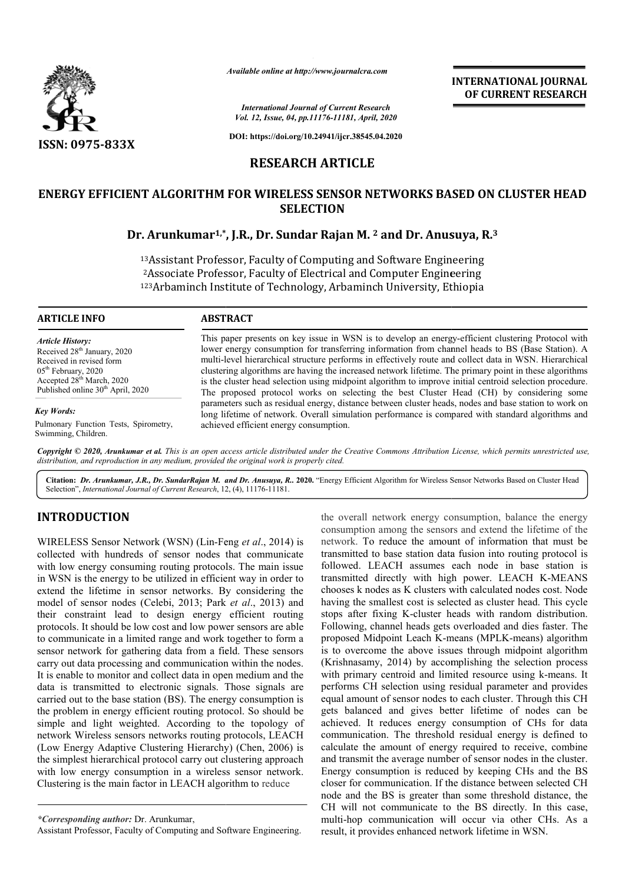

*Available online at http://www.journalcra.com*

*International Journal of Current Research Vol. 12, Issue, 04, pp.11176-11181, April, 2020*

**DOI: https://doi.org/10.24941/ijcr.38545.04.2020**

# **RESEARCH ARTICLE**

# ENERGY EFFICIENT ALGORITHM FOR WIRELESS SENSOR NETWORKS BASED ON CLUSTER HEAD<br>SELECTION<br>Dr. Arunkumar<sup>1,\*</sup>, J.R., Dr. Sundar Rajan M. <sup>2</sup> and Dr. Anusuya, R.<sup>3</sup> **SELECTION**

# **Dr. Arunkumar1,\* ,\*, J.R., Dr. Sundar Rajan M. 2 and Dr. Anusuya, R.**

13Assistant Professor, Faculty of Computing and Software Engineering <sup>3</sup>Assistant Professor, Faculty of Computing and Software Engineering<br><sup>2</sup>Associate Professor, Faculty of Electrical and Computer Engineering 123 Arbaminch Institute of Technology, Arbaminch University, Ethiopia

### **ARTICLE INFO ABSTRACT**

*Article History:* Received 28<sup>th</sup> January, 2020 Received in revised form 05<sup>th</sup> February, 2020 Accepted 28<sup>th</sup> March, 2020 Published online  $30<sup>th</sup>$  April, 2020

*Key Words:*

Pulmonary Function Tests, Spirometry, Swimming, Children.

This paper presents on key issue in WSN is to develop an energy-efficient clustering Protocol with lower energy consumption for transferring information from channel heads to BS (Base Station). A multi-level hierarchical structure performs in effectively route and collect data in WSN. Hierarchical clustering algorithms are having the increased network lifetime. The primary point in these algorithms is the cluster head selection using midpoint algorithm to improve initial centroid selection procedure. The pr proposed protocol works on selecting the best Cluster Head (CH) by considering some parameters such as residual energy, distance between cluster heads, nodes and base station to work on long lifetime of network. Overall simulation performance is compared with standard algorithms and achieved efficient energy consumption. lower energy consumption for transferring information from channel heads to BS (Base Station). A multi-level hierarchical structure performs in effectively route and collect data in WSN. Hierarchical clustering algorithms

Copyright © 2020, Arunkumar et al. This is an open access article distributed under the Creative Commons Attribution License, which permits unrestricted use, *distribution, and reproduction in any medium, provided the original work is properly cited.*

Citation: Dr. Arunkumar, J.R., Dr. SundarRajan M. and Dr. Anusuya, R.. 2020. "Energy Efficient Algorithm for Wireless Sensor Networks Based on Cluster Head Selection", *International Journal of Current Research*, 12, (4), 11176-11181.

# **INTRODUCTION**

WIRELESS Sensor Network (WSN) (Lin-Feng et al., 2014) is collected with hundreds of sensor nodes that communicate with low energy consuming routing protocols. The main issue in WSN is the energy to be utilized in efficient way in order to extend the lifetime in sensor networks. By considering the model of sensor nodes (Celebi, 2013; Park et al., 2013) and their constraint lead to design energy efficient routing protocols. It should be low cost and low power sensors are able to communicate in a limited range and work together to form a sensor network for gathering data from a field. These sensors carry out data processing and communication within the nodes. It is enable to monitor and collect data in open medium and the data is transmitted to electronic signals. Those signals are carried out to the base station (BS). The energy consumption is the problem in energy efficient routing protocol. So should be simple and light weighted. According to the topology of network Wireless sensors networks routing protocols, LEACH (Low Energy Adaptive Clustering Hierarchy) (Chen, 2006) is the simplest hierarchical protocol carry out clustering approach with low energy consumption in a wireless sensor network. Clustering is the main factor in LEACH algorithm to reduce

the overall network energy consumption, balance the energy consumption among the sensors and extend the lifetime of the network. To reduce the amount of information that must be transmitted to base station data fusion into routing protocol is followed. LEACH assumes each node in base station is followed. LEACH assumes each node in base station is transmitted directly with high power. LEACH K-MEANS chooses k nodes as K clusters with calculated nodes cost. Node having the smallest cost is selected as cluster head. This cycle stops after fixing K-cluster heads with random distribution. stops after fixing K-cluster heads with random distribution.<br>Following, channel heads gets overloaded and dies faster. The proposed Midpoint Leach K-means (MPLK means (MPLK-means) algorithm is to overcome the above issues through midpoint algorithm (Krishnasamy, 2014) by accomplishing the selection process with primary centroid and limited resource using k-means. It performs CH selection using residual parameter and provides equal amount of sensor nodes to each cluster. Through this CH gets balanced and gives better lifetime of nodes can be achieved. It reduces energy consumption of CHs for data communication. The threshold residual energy is defined to calculate the amount of energy required to receive, and transmit the average number of sensor nodes in the cluster. Energy consumption is reduced by keeping CHs and the BS closer for communication. If the distance between selected CH node and the BS is greater than some threshold distance, the CH will not communicate to the BS directly. In this case, multi-hop communication will occur via other CHs. As a result, it provides enhanced network lifetime in WSN. Il network energy consumption, balance the energy<br>ion among the sensors and extend the lifetime of the<br>To reduce the amount of information that must be<br>d to base station data fusion into routing protocol is overcome the above issues through midpoint algorithm<br>hnasamy, 2014) by accomplishing the selection process<br>primary centroid and limited resource using k-means. It performs CH selection using residual parameter and provides equal amount of sensor nodes to each cluster. Through this CH gets balanced and gives better lifetime of nodes can be achieved. It reduces energy consumption of C INTERNATIONAL JOURNAL<br>
<sup>on Rosenvich CDF CURRENT RESEARCH<br>
2017.<br>
2018.<br>
2018.18.2820<br>
10.15.2820<br>
10.15.282<br>
10.15.282<br>
10.16.282<br>
10.16.282<br>
10.16.282<br>
10.16.282<br>
2018.16.282<br>
2018.16.29.2019 COLUSTER HEAD<br>
10.16.282<br>
20</sup>

**INTERNATIONAL JOURNAL OF CURRENT RESEARCH**

*<sup>\*</sup>Corresponding author:* Dr. Arunkumar,

Assistant Professor, Faculty of Computing and Software Engineering.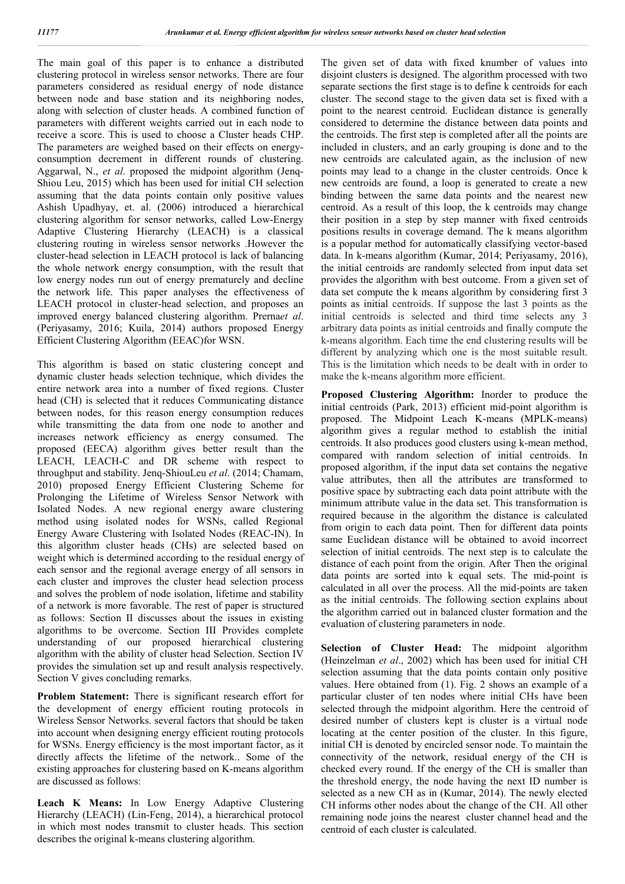The main goal of this paper is to enhance a distributed clustering protocol in wireless sensor networks. There are four parameters considered as residual energy of node distance between node and base station and its neighboring nodes, along with selection of cluster heads. A combined function of parameters with different weights carried out in each node to receive a score. This is used to choose a Cluster heads CHP. The parameters are weighed based on their effects on energyconsumption decrement in different rounds of clustering. Aggarwal, N., *et al*. proposed the midpoint algorithm (Jenq-Shiou Leu, 2015) which has been used for initial CH selection assuming that the data points contain only positive values Ashish Upadhyay, et. al. (2006) introduced a hierarchical clustering algorithm for sensor networks, called Low-Energy Adaptive Clustering Hierarchy (LEACH) is a classical clustering routing in wireless sensor networks .However the cluster-head selection in LEACH protocol is lack of balancing the whole network energy consumption, with the result that low energy nodes run out of energy prematurely and decline the network life. This paper analyses the effectiveness of LEACH protocol in cluster-head selection, and proposes an improved energy balanced clustering algorithm. Prerna*et al*. (Periyasamy, 2016; Kuila, 2014) authors proposed Energy Efficient Clustering Algorithm (EEAC)for WSN.

This algorithm is based on static clustering concept and dynamic cluster heads selection technique, which divides the entire network area into a number of fixed regions. Cluster head (CH) is selected that it reduces Communicating distance between nodes, for this reason energy consumption reduces while transmitting the data from one node to another and increases network efficiency as energy consumed. The proposed (EECA) algorithm gives better result than the LEACH, LEACH-C and DR scheme with respect to throughput and stability. Jenq-ShiouLeu *et al*. (2014; Chamam, 2010) proposed Energy Efficient Clustering Scheme for Prolonging the Lifetime of Wireless Sensor Network with Isolated Nodes. A new regional energy aware clustering method using isolated nodes for WSNs, called Regional Energy Aware Clustering with Isolated Nodes (REAC-IN). In this algorithm cluster heads (CHs) are selected based on weight which is determined according to the residual energy of each sensor and the regional average energy of all sensors in each cluster and improves the cluster head selection process and solves the problem of node isolation, lifetime and stability of a network is more favorable. The rest of paper is structured as follows: Section II discusses about the issues in existing algorithms to be overcome. Section III Provides complete understanding of our proposed hierarchical clustering algorithm with the ability of cluster head Selection. Section IV provides the simulation set up and result analysis respectively. Section V gives concluding remarks.

**Problem Statement:** There is significant research effort for the development of energy efficient routing protocols in Wireless Sensor Networks. several factors that should be taken into account when designing energy efficient routing protocols for WSNs. Energy efficiency is the most important factor, as it directly affects the lifetime of the network.. Some of the existing approaches for clustering based on K-means algorithm are discussed as follows:

**Leach K Means:** In Low Energy Adaptive Clustering Hierarchy (LEACH) (Lin-Feng, 2014), a hierarchical protocol in which most nodes transmit to cluster heads. This section describes the original k-means clustering algorithm.

The given set of data with fixed knumber of values into disjoint clusters is designed. The algorithm processed with two separate sections the first stage is to define k centroids for each cluster. The second stage to the given data set is fixed with a point to the nearest centroid. Euclidean distance is generally considered to determine the distance between data points and the centroids. The first step is completed after all the points are included in clusters, and an early grouping is done and to the new centroids are calculated again, as the inclusion of new points may lead to a change in the cluster centroids. Once k new centroids are found, a loop is generated to create a new binding between the same data points and the nearest new centroid. As a result of this loop, the k centroids may change their position in a step by step manner with fixed centroids positions results in coverage demand. The k means algorithm is a popular method for automatically classifying vector-based data. In k-means algorithm (Kumar, 2014; Periyasamy, 2016), the initial centroids are randomly selected from input data set provides the algorithm with best outcome. From a given set of data set compute the k means algorithm by considering first 3 points as initial centroids. If suppose the last 3 points as the initial centroids is selected and third time selects any 3 arbitrary data points as initial centroids and finally compute the k-means algorithm. Each time the end clustering results will be different by analyzing which one is the most suitable result. This is the limitation which needs to be dealt with in order to make the k-means algorithm more efficient.

**Proposed Clustering Algorithm:** Inorder to produce the initial centroids (Park, 2013) efficient mid-point algorithm is proposed. The Midpoint Leach K-means (MPLK-means) algorithm gives a regular method to establish the initial centroids. It also produces good clusters using k-mean method, compared with random selection of initial centroids. In proposed algorithm, if the input data set contains the negative value attributes, then all the attributes are transformed to positive space by subtracting each data point attribute with the minimum attribute value in the data set. This transformation is required because in the algorithm the distance is calculated from origin to each data point. Then for different data points same Euclidean distance will be obtained to avoid incorrect selection of initial centroids. The next step is to calculate the distance of each point from the origin. After Then the original data points are sorted into k equal sets. The mid-point is calculated in all over the process. All the mid-points are taken as the initial centroids. The following section explains about the algorithm carried out in balanced cluster formation and the evaluation of clustering parameters in node.

**Selection of Cluster Head:** The midpoint algorithm (Heinzelman *et al*., 2002) which has been used for initial CH selection assuming that the data points contain only positive values. Here obtained from (1). Fig. 2 shows an example of a particular cluster of ten nodes where initial CHs have been selected through the midpoint algorithm. Here the centroid of desired number of clusters kept is cluster is a virtual node locating at the center position of the cluster. In this figure, initial CH is denoted by encircled sensor node. To maintain the connectivity of the network, residual energy of the CH is checked every round. If the energy of the CH is smaller than the threshold energy, the node having the next ID number is selected as a new CH as in (Kumar, 2014). The newly elected CH informs other nodes about the change of the CH. All other remaining node joins the nearest cluster channel head and the centroid of each cluster is calculated.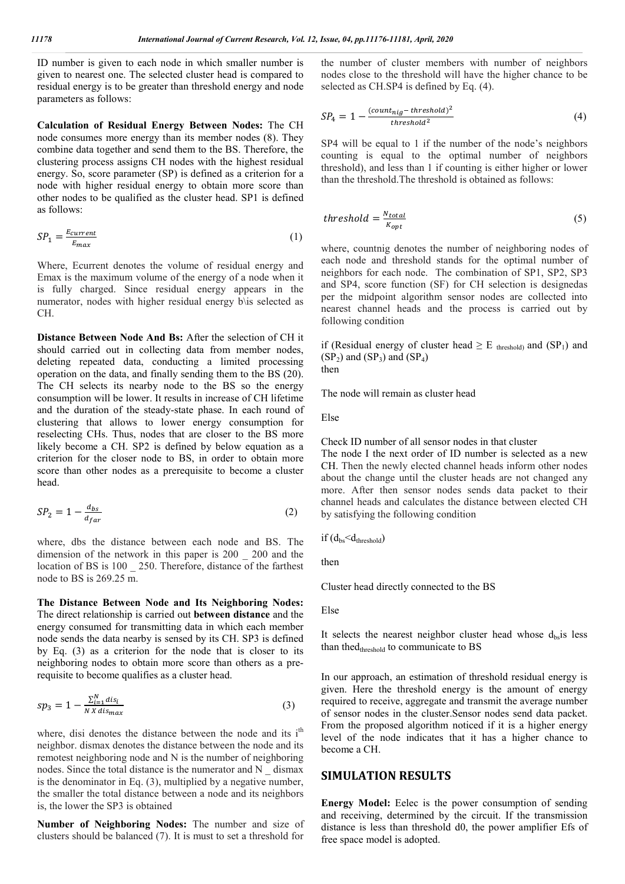ID number is given to each node in which smaller number is given to nearest one. The selected cluster head is compared to residual energy is to be greater than threshold energy and node parameters as follows:

**Calculation of Residual Energy Between Nodes:** The CH node consumes more energy than its member nodes (8). They combine data together and send them to the BS. Therefore, the clustering process assigns CH nodes with the highest residual energy. So, score parameter (SP) is defined as a criterion for a node with higher residual energy to obtain more score than other nodes to be qualified as the cluster head. SP1 is defined as follows:

$$
SP_1 = \frac{E_{current}}{E_{max}}\tag{1}
$$

Where, Ecurrent denotes the volume of residual energy and Emax is the maximum volume of the energy of a node when it is fully charged. Since residual energy appears in the numerator, nodes with higher residual energy b\is selected as CH.

**Distance Between Node And Bs:** After the selection of CH it should carried out in collecting data from member nodes, deleting repeated data, conducting a limited processing operation on the data, and finally sending them to the BS (20). The CH selects its nearby node to the BS so the energy consumption will be lower. It results in increase of CH lifetime and the duration of the steady-state phase. In each round of clustering that allows to lower energy consumption for reselecting CHs. Thus, nodes that are closer to the BS more likely become a CH. SP2 is defined by below equation as a criterion for the closer node to BS, in order to obtain more score than other nodes as a prerequisite to become a cluster head.

$$
SP_2 = 1 - \frac{d_{bs}}{d_{far}} \tag{2}
$$

where, dbs the distance between each node and BS. The dimension of the network in this paper is 200 \_ 200 and the location of BS is 100 \_ 250. Therefore, distance of the farthest node to BS is 269.25 m.

**The Distance Between Node and Its Neighboring Nodes:**  The direct relationship is carried out **between distance** and the energy consumed for transmitting data in which each member node sends the data nearby is sensed by its CH. SP3 is defined by Eq. (3) as a criterion for the node that is closer to its neighboring nodes to obtain more score than others as a prerequisite to become qualifies as a cluster head.

$$
sp_3 = 1 - \frac{\sum_{i=1}^{N} dis_i}{N \, X \, dis_{max}} \tag{3}
$$

where, disi denotes the distance between the node and its i<sup>th</sup> neighbor. dismax denotes the distance between the node and its remotest neighboring node and N is the number of neighboring nodes. Since the total distance is the numerator and N \_ dismax is the denominator in Eq. (3), multiplied by a negative number, the smaller the total distance between a node and its neighbors is, the lower the SP3 is obtained

**Number of Neighboring Nodes:** The number and size of clusters should be balanced (7). It is must to set a threshold for

the number of cluster members with number of neighbors nodes close to the threshold will have the higher chance to be selected as CH.SP4 is defined by Eq. (4).

$$
SP_4 = 1 - \frac{(count_{nig} - threshold)^2}{threshold^2}
$$
 (4)

SP4 will be equal to 1 if the number of the node's neighbors counting is equal to the optimal number of neighbors threshold), and less than 1 if counting is either higher or lower than the threshold.The threshold is obtained as follows:

$$
threshold = \frac{N_{total}}{K_{opt}} \tag{5}
$$

where, countnig denotes the number of neighboring nodes of each node and threshold stands for the optimal number of neighbors for each node. The combination of SP1, SP2, SP3 and SP4, score function (SF) for CH selection is designedas per the midpoint algorithm sensor nodes are collected into nearest channel heads and the process is carried out by following condition

if (Residual energy of cluster head  $\geq$  E threshold) and (SP<sub>1</sub>) and  $(SP_2)$  and  $(SP_3)$  and  $(SP_4)$ 

then

The node will remain as cluster head

Else

Check ID number of all sensor nodes in that cluster

The node I the next order of ID number is selected as a new CH. Then the newly elected channel heads inform other nodes about the change until the cluster heads are not changed any more. After then sensor nodes sends data packet to their channel heads and calculates the distance between elected CH by satisfying the following condition

if  $(d_{bs} < d_{threshold})$ 

then

Cluster head directly connected to the BS

Else

It selects the nearest neighbor cluster head whose  $d_{bs}$  is less than thed<sub>threshold</sub> to communicate to BS

In our approach, an estimation of threshold residual energy is given. Here the threshold energy is the amount of energy required to receive, aggregate and transmit the average number of sensor nodes in the cluster.Sensor nodes send data packet. From the proposed algorithm noticed if it is a higher energy level of the node indicates that it has a higher chance to become a CH.

## **SIMULATION RESULTS**

**Energy Model:** Eelec is the power consumption of sending and receiving, determined by the circuit. If the transmission distance is less than threshold d0, the power amplifier Efs of free space model is adopted.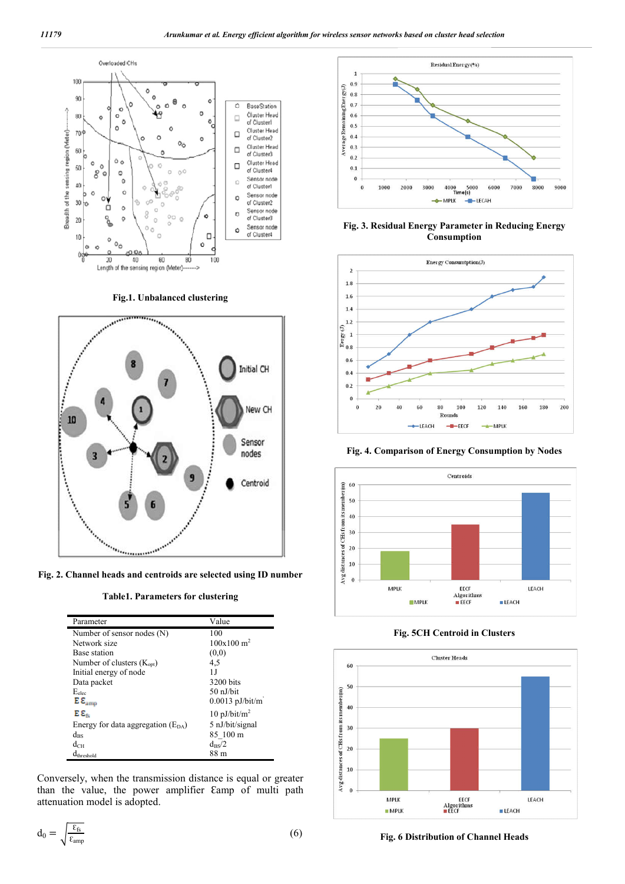

**Fig.1. Unbalanced clustering**



**Fig. 2. Channel heads and centroids are selected using ID number**

**Table1. Parameters for clustering**

| Parameter                               | Value                  |
|-----------------------------------------|------------------------|
| Number of sensor nodes (N)              | 100                    |
| Network size                            | 100x100 m <sup>2</sup> |
| Base station                            | (0,0)                  |
| Number of clusters $(K_{\text{opt}})$   | 4.5                    |
| Initial energy of node                  | 1.J                    |
| Data packet                             | 3200 bits              |
| $E_{elec}$                              | $50$ nJ/bit            |
| $\mathbf{E}\,\mathbf{E}_{\mathrm{amp}}$ | $0.0013$ pJ/bit/m      |
| Eε.                                     | 10 pJ/bit/ $m^2$       |
| Energy for data aggregation $(E_{DA})$  | 5 nJ/bit/signal        |
| $d_{\rm BS}$                            | 85 100 m               |
| $d_{\rm CH}$                            | $d_{\rm BS}/2$         |
| $d_{threshold}$                         | 88 m                   |

Conversely, when the transmission distance is equal or greater than the value, the power amplifier Eamp of multi path attenuation model is adopted.

$$
d_0 = \sqrt{\frac{\epsilon_{fs}}{\epsilon_{amp}}} \tag{6}
$$



**Fig. 3. Residual Energy Parameter in Reducing Energy Consumption**



**Fig. 4. Comparison of Energy Consumption by Nodes**



**Fig. 5CH Centroid in Clusters**



**Fig. 6 Distribution of Channel Heads**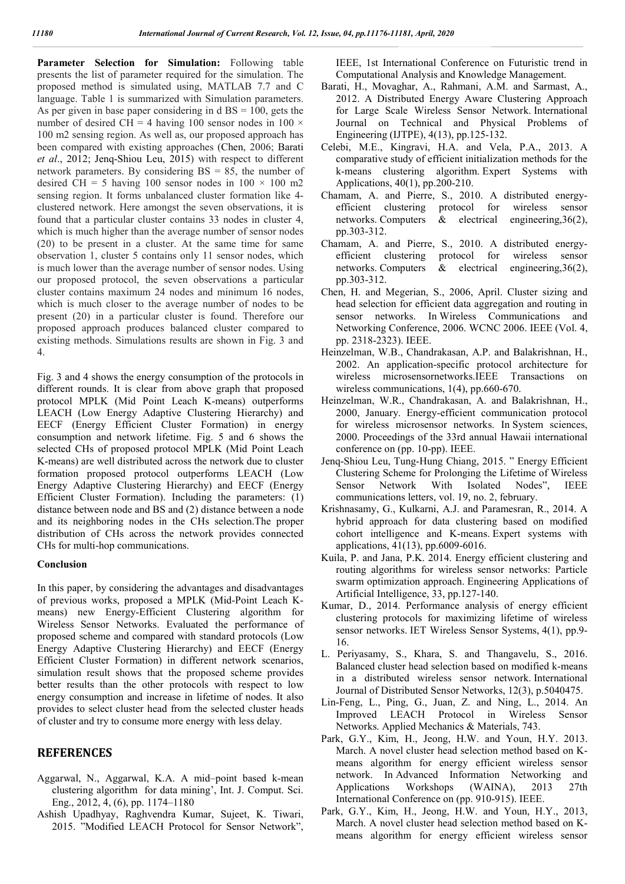Parameter Selection for Simulation: Following table presents the list of parameter required for the simulation. The proposed method is simulated using, MATLAB 7.7 and C language. Table 1 is summarized with Simulation parameters. As per given in base paper considering in  $d$  BS = 100, gets the number of desired CH = 4 having 100 sensor nodes in 100  $\times$ 100 m2 sensing region. As well as, our proposed approach has been compared with existing approaches (Chen, 2006; Barati *et al*., 2012; Jenq-Shiou Leu, 2015) with respect to different network parameters. By considering  $BS = 85$ , the number of desired CH = 5 having 100 sensor nodes in  $100 \times 100$  m2 sensing region. It forms unbalanced cluster formation like 4 clustered network. Here amongst the seven observations, it is found that a particular cluster contains 33 nodes in cluster 4, which is much higher than the average number of sensor nodes (20) to be present in a cluster. At the same time for same observation 1, cluster 5 contains only 11 sensor nodes, which is much lower than the average number of sensor nodes. Using our proposed protocol, the seven observations a particular cluster contains maximum 24 nodes and minimum 16 nodes, which is much closer to the average number of nodes to be present (20) in a particular cluster is found. Therefore our proposed approach produces balanced cluster compared to existing methods. Simulations results are shown in Fig. 3 and 4.

Fig. 3 and 4 shows the energy consumption of the protocols in different rounds. It is clear from above graph that proposed protocol MPLK (Mid Point Leach K-means) outperforms LEACH (Low Energy Adaptive Clustering Hierarchy) and EECF (Energy Efficient Cluster Formation) in energy consumption and network lifetime. Fig. 5 and 6 shows the selected CHs of proposed protocol MPLK (Mid Point Leach K-means) are well distributed across the network due to cluster formation proposed protocol outperforms LEACH (Low Energy Adaptive Clustering Hierarchy) and EECF (Energy Efficient Cluster Formation). Including the parameters: (1) distance between node and BS and (2) distance between a node and its neighboring nodes in the CHs selection.The proper distribution of CHs across the network provides connected CHs for multi-hop communications.

### **Conclusion**

In this paper, by considering the advantages and disadvantages of previous works, proposed a MPLK (Mid-Point Leach Kmeans) new Energy-Efficient Clustering algorithm for Wireless Sensor Networks. Evaluated the performance of proposed scheme and compared with standard protocols (Low Energy Adaptive Clustering Hierarchy) and EECF (Energy Efficient Cluster Formation) in different network scenarios, simulation result shows that the proposed scheme provides better results than the other protocols with respect to low energy consumption and increase in lifetime of nodes. It also provides to select cluster head from the selected cluster heads of cluster and try to consume more energy with less delay.

## **REFERENCES**

- Aggarwal, N., Aggarwal, K.A. A mid–point based k-mean clustering algorithm for data mining', Int. J. Comput. Sci. Eng., 2012, 4, (6), pp. 1174–1180
- Ashish Upadhyay, Raghvendra Kumar, Sujeet, K. Tiwari, 2015. "Modified LEACH Protocol for Sensor Network",

IEEE, 1st International Conference on Futuristic trend in Computational Analysis and Knowledge Management.

- Barati, H., Movaghar, A., Rahmani, A.M. and Sarmast, A., 2012. A Distributed Energy Aware Clustering Approach for Large Scale Wireless Sensor Network. International Journal on Technical and Physical Problems of Engineering (IJTPE), 4(13), pp.125-132.
- Celebi, M.E., Kingravi, H.A. and Vela, P.A., 2013. A comparative study of efficient initialization methods for the k-means clustering algorithm. Expert Systems with Applications, 40(1), pp.200-210.
- Chamam, A. and Pierre, S., 2010. A distributed energyefficient clustering protocol for wireless sensor networks. Computers  $\&$  electrical engineering, 36(2), networks. Computers & electrical pp.303-312.
- Chamam, A. and Pierre, S., 2010. A distributed energyefficient clustering protocol for wireless sensor networks. Computers & electrical engineering,36(2), pp.303-312.
- Chen, H. and Megerian, S., 2006, April. Cluster sizing and head selection for efficient data aggregation and routing in sensor networks. In Wireless Communications and Networking Conference, 2006. WCNC 2006. IEEE (Vol. 4, pp. 2318-2323). IEEE.
- Heinzelman, W.B., Chandrakasan, A.P. and Balakrishnan, H., 2002. An application-specific protocol architecture for wireless microsensornetworks.IEEE Transactions wireless communications, 1(4), pp.660-670.
- Heinzelman, W.R., Chandrakasan, A. and Balakrishnan, H., 2000, January. Energy-efficient communication protocol for wireless microsensor networks. In System sciences, 2000. Proceedings of the 33rd annual Hawaii international conference on (pp. 10-pp). IEEE.
- Jenq-Shiou Leu, Tung-Hung Chiang, 2015. " Energy Efficient Clustering Scheme for Prolonging the Lifetime of Wireless Sensor Network With Isolated Nodes", IEEE communications letters, vol. 19, no. 2, february.
- Krishnasamy, G., Kulkarni, A.J. and Paramesran, R., 2014. A hybrid approach for data clustering based on modified cohort intelligence and K-means. Expert systems with applications, 41(13), pp.6009-6016.
- Kuila, P. and Jana, P.K. 2014. Energy efficient clustering and routing algorithms for wireless sensor networks: Particle swarm optimization approach. Engineering Applications of Artificial Intelligence, 33, pp.127-140.
- Kumar, D., 2014. Performance analysis of energy efficient clustering protocols for maximizing lifetime of wireless sensor networks. IET Wireless Sensor Systems, 4(1), pp.9- 16.
- L. Periyasamy, S., Khara, S. and Thangavelu, S., 2016. Balanced cluster head selection based on modified k-means in a distributed wireless sensor network. International Journal of Distributed Sensor Networks, 12(3), p.5040475.
- Lin-Feng, L., Ping, G., Juan, Z. and Ning, L., 2014. An Improved LEACH Protocol in Wireless Sensor Networks. Applied Mechanics & Materials, 743.
- Park, G.Y., Kim, H., Jeong, H.W. and Youn, H.Y. 2013. March. A novel cluster head selection method based on Kmeans algorithm for energy efficient wireless sensor network. In Advanced Information Networking and Applications Workshops (WAINA), 2013 27th International Conference on (pp. 910-915). IEEE.
- Park, G.Y., Kim, H., Jeong, H.W. and Youn, H.Y., 2013, March. A novel cluster head selection method based on Kmeans algorithm for energy efficient wireless sensor